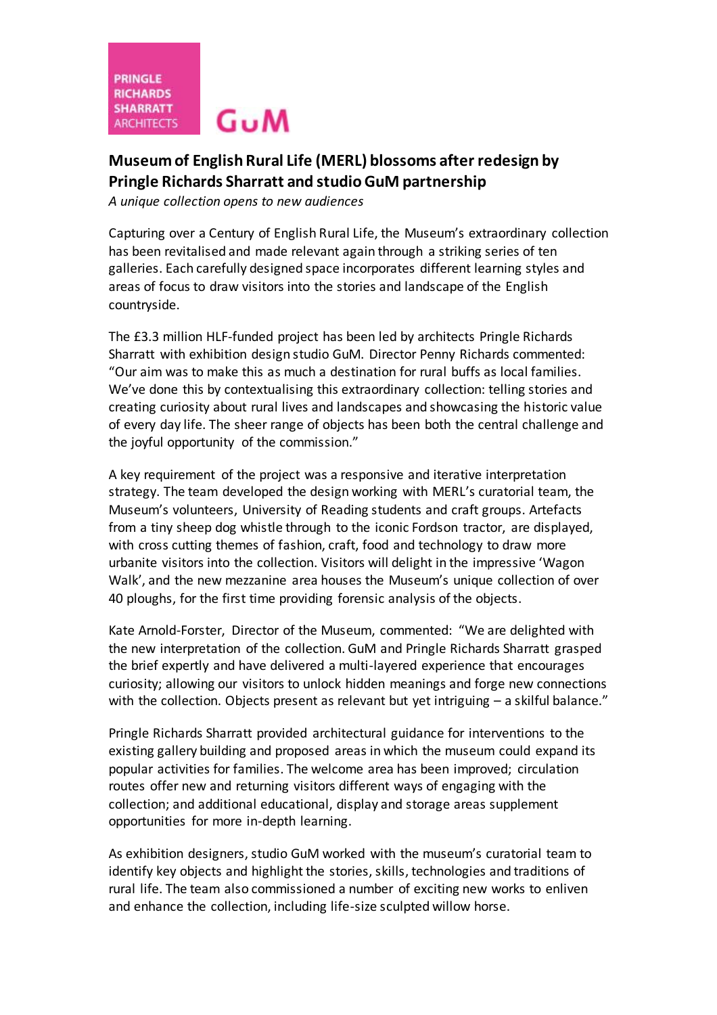# **Museum of English Rural Life (MERL) blossoms after redesign by Pringle Richards Sharratt and studio GuM partnership**

*A unique collection opens to new audiences*

Capturing over a Century of English Rural Life, the Museum's extraordinary collection has been revitalised and made relevant again through a striking series of ten galleries. Each carefully designed space incorporates different learning styles and areas of focus to draw visitors into the stories and landscape of the English countryside.

The £3.3 million HLF-funded project has been led by architects Pringle Richards Sharratt with exhibition design studio GuM. Director Penny Richards commented: "Our aim was to make this as much a destination for rural buffs as local families. We've done this by contextualising this extraordinary collection: telling stories and creating curiosity about rural lives and landscapes and showcasing the historic value of every day life. The sheer range of objects has been both the central challenge and the joyful opportunity of the commission."

A key requirement of the project was a responsive and iterative interpretation strategy. The team developed the design working with MERL's curatorial team, the Museum's volunteers, University of Reading students and craft groups. Artefacts from a tiny sheep dog whistle through to the iconic Fordson tractor, are displayed, with cross cutting themes of fashion, craft, food and technology to draw more urbanite visitors into the collection. Visitors will delight in the impressive 'Wagon Walk', and the new mezzanine area houses the Museum's unique collection of over 40 ploughs, for the first time providing forensic analysis of the objects.

Kate Arnold-Forster, Director of the Museum, commented: "We are delighted with the new interpretation of the collection. GuM and Pringle Richards Sharratt grasped the brief expertly and have delivered a multi-layered experience that encourages curiosity; allowing our visitors to unlock hidden meanings and forge new connections with the collection. Objects present as relevant but yet intriguing – a skilful balance."

Pringle Richards Sharratt provided architectural guidance for interventions to the existing gallery building and proposed areas in which the museum could expand its popular activities for families. The welcome area has been improved; circulation routes offer new and returning visitors different ways of engaging with the collection; and additional educational, display and storage areas supplement opportunities for more in-depth learning.

As exhibition designers, studio GuM worked with the museum's curatorial team to identify key objects and highlight the stories, skills, technologies and traditions of rural life. The team also commissioned a number of exciting new works to enliven and enhance the collection, including life-size sculpted willow horse.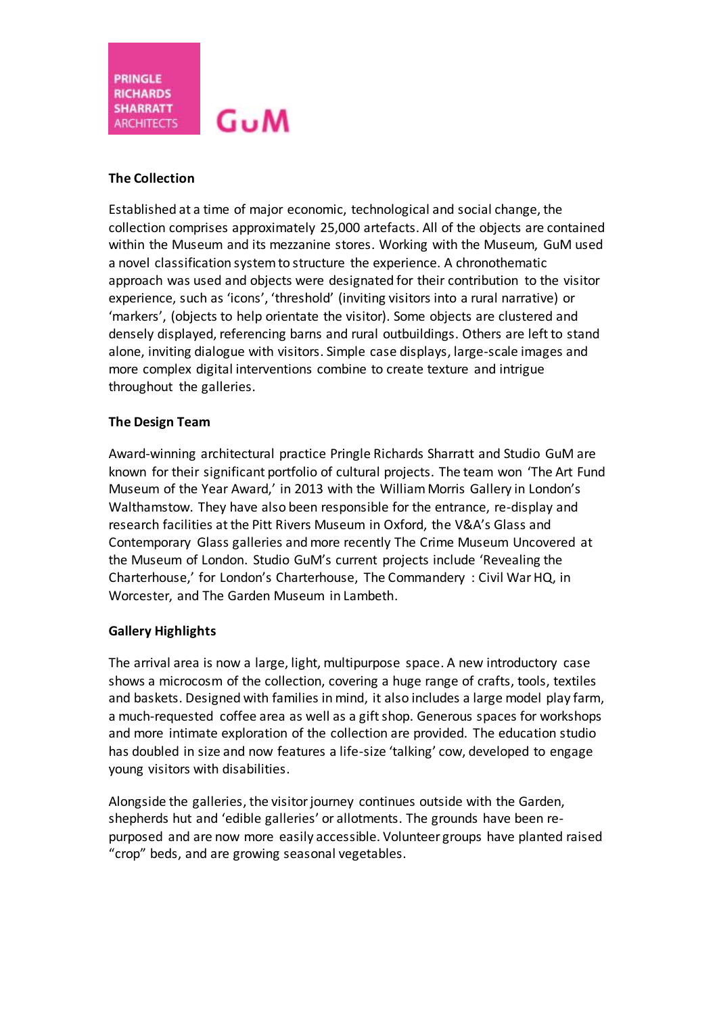**PRINGLE RICHARDS SHARRATT**  $G_{\rm U}M$ **ARCHITECTS** I

### **The Collection**

Established at a time of major economic, technological and social change, the collection comprises approximately 25,000 artefacts. All of the objects are contained within the Museum and its mezzanine stores. Working with the Museum, GuM used a novel classification system to structure the experience. A chronothematic approach was used and objects were designated for their contribution to the visitor experience, such as 'icons', 'threshold' (inviting visitors into a rural narrative) or 'markers', (objects to help orientate the visitor). Some objects are clustered and densely displayed, referencing barns and rural outbuildings. Others are left to stand alone, inviting dialogue with visitors. Simple case displays, large-scale images and more complex digital interventions combine to create texture and intrigue throughout the galleries.

#### **The Design Team**

Award-winning architectural practice Pringle Richards Sharratt and Studio GuM are known for their significant portfolio of cultural projects. The team won 'The Art Fund Museum of the Year Award,' in 2013 with the William Morris Gallery in London's Walthamstow. They have also been responsible for the entrance, re-display and research facilities at the Pitt Rivers Museum in Oxford, the V&A's Glass and Contemporary Glass galleries and more recently The Crime Museum Uncovered at the Museum of London. Studio GuM's current projects include 'Revealing the Charterhouse,' for London's Charterhouse, The Commandery : Civil War HQ, in Worcester, and The Garden Museum in Lambeth.

### **Gallery Highlights**

The arrival area is now a large, light, multipurpose space. A new introductory case shows a microcosm of the collection, covering a huge range of crafts, tools, textiles and baskets. Designed with families in mind, it also includes a large model play farm, a much-requested coffee area as well as a gift shop. Generous spaces for workshops and more intimate exploration of the collection are provided. The education studio has doubled in size and now features a life-size 'talking' cow, developed to engage young visitors with disabilities.

Alongside the galleries, the visitor journey continues outside with the Garden, shepherds hut and 'edible galleries' or allotments. The grounds have been repurposed and are now more easily accessible. Volunteer groups have planted raised "crop" beds, and are growing seasonal vegetables.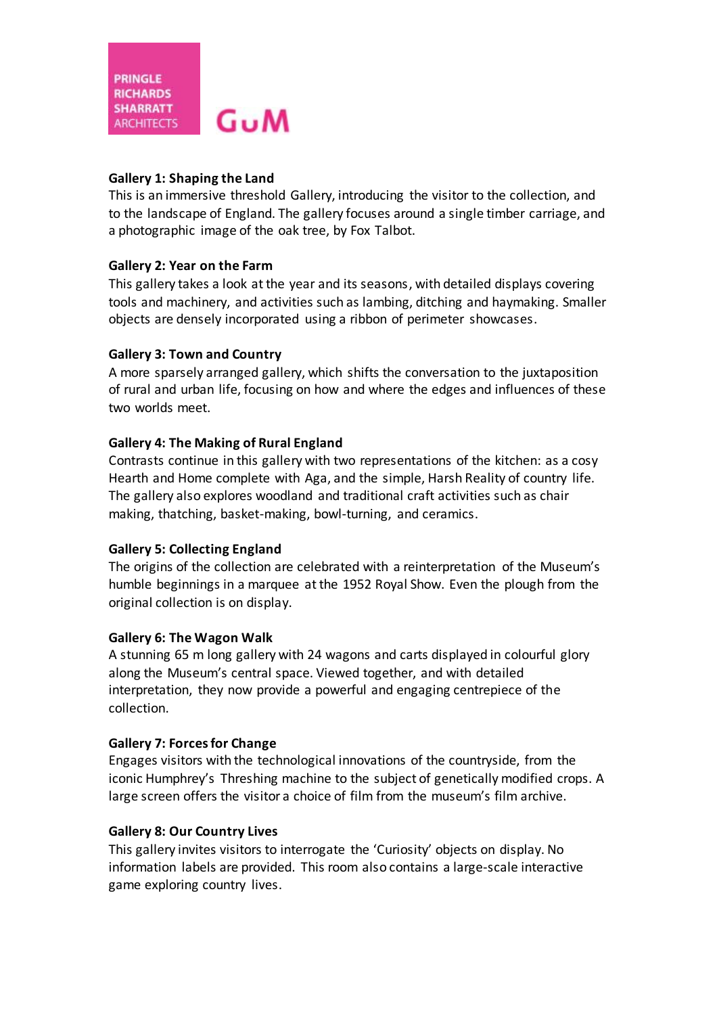## **Gallery 1: Shaping the Land**

This is an immersive threshold Gallery, introducing the visitor to the collection, and to the landscape of England. The gallery focuses around a single timber carriage, and a photographic image of the oak tree, by Fox Talbot.

## **Gallery 2: Year on the Farm**

This gallery takes a look at the year and its seasons, with detailed displays covering tools and machinery, and activities such as lambing, ditching and haymaking. Smaller objects are densely incorporated using a ribbon of perimeter showcases.

## **Gallery 3: Town and Country**

A more sparsely arranged gallery, which shifts the conversation to the juxtaposition of rural and urban life, focusing on how and where the edges and influences of these two worlds meet.

## **Gallery 4: The Making of Rural England**

Contrasts continue in this gallery with two representations of the kitchen: as a cosy Hearth and Home complete with Aga, and the simple, Harsh Reality of country life. The gallery also explores woodland and traditional craft activities such as chair making, thatching, basket-making, bowl-turning, and ceramics.

### **Gallery 5: Collecting England**

The origins of the collection are celebrated with a reinterpretation of the Museum's humble beginnings in a marquee at the 1952 Royal Show. Even the plough from the original collection is on display.

### **Gallery 6: The Wagon Walk**

A stunning 65 m long gallery with 24 wagons and carts displayed in colourful glory along the Museum's central space. Viewed together, and with detailed interpretation, they now provide a powerful and engaging centrepiece of the collection.

### **Gallery 7: Forces for Change**

Engages visitors with the technological innovations of the countryside, from the iconic Humphrey's Threshing machine to the subject of genetically modified crops. A large screen offers the visitor a choice of film from the museum's film archive.

# **Gallery 8: Our Country Lives**

This gallery invites visitors to interrogate the 'Curiosity' objects on display. No information labels are provided. This room also contains a large-scale interactive game exploring country lives.